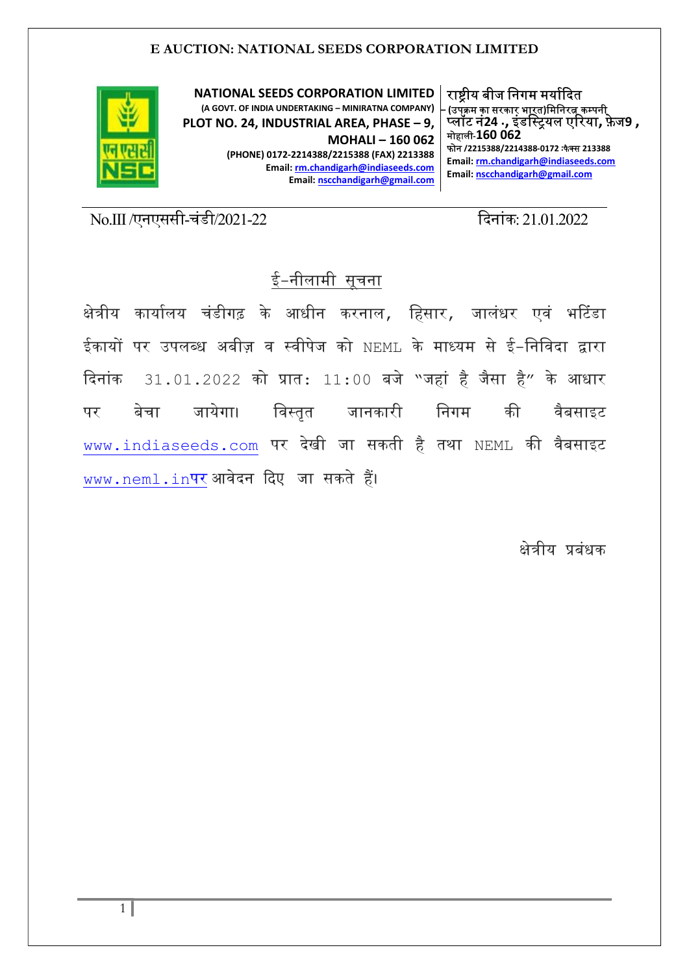

NATIONAL SEEDS CORPORATION LIMITED (A GOVT. OF INDIA UNDERTAKING – MINIRATNA COMPANY) PLOT NO. 24, INDUSTRIAL AREA, PHASE – 9, MOHALI – 160 062 (PHONE) 0172-2214388/2215388 (FAX) 2213388 Email: rm.chandigarh@indiaseeds.com Email: nscchandigarh@gmail.com

राष्टीय बीज निगम मर्यादित ,<br>(उपक्रम का सरकार भा<u>र</u>त)मिनिरत्न कम्पनी प्लॉट नं24 ., इंडस्ट्रियल एरिया, फ़ेज9 , मोहाली-160 062 फोन /2215388/2214388-0172 :फैक्स 213388

Email: rm.chandigarh@indiaseeds.com Email: nscchandigarh@gmail.com

No.III /एनएससी-चंडी/2021-22 ᳰदनांक: 21.01.2022

# ई-नीलामी सुचना

क्षेत्रीय कार्यालय चंडीगढ़ के आधीन करनाल, हिसार, जालंधर एवं भटिंडा ईकायᲂ पर उपल᭣ध अबीज़ व ᭭वीपेज को NEML के मा᭟यम से ई-िनिवदा ᳇ारा दिनांक 31.01.2022 को प्रात: 11:00 बजे "जहां है जैसा है" के आधार पर बेचा जायेगा। विस्तृत जानकारी निगम की वैबसाइट www.indiaseeds.com पर देखी जा सकती है तथा NEML की वैबसाइट www.neml.inपर आवेदन दिए जा सकते हैं।

क्षेत्रीय प्रबंधक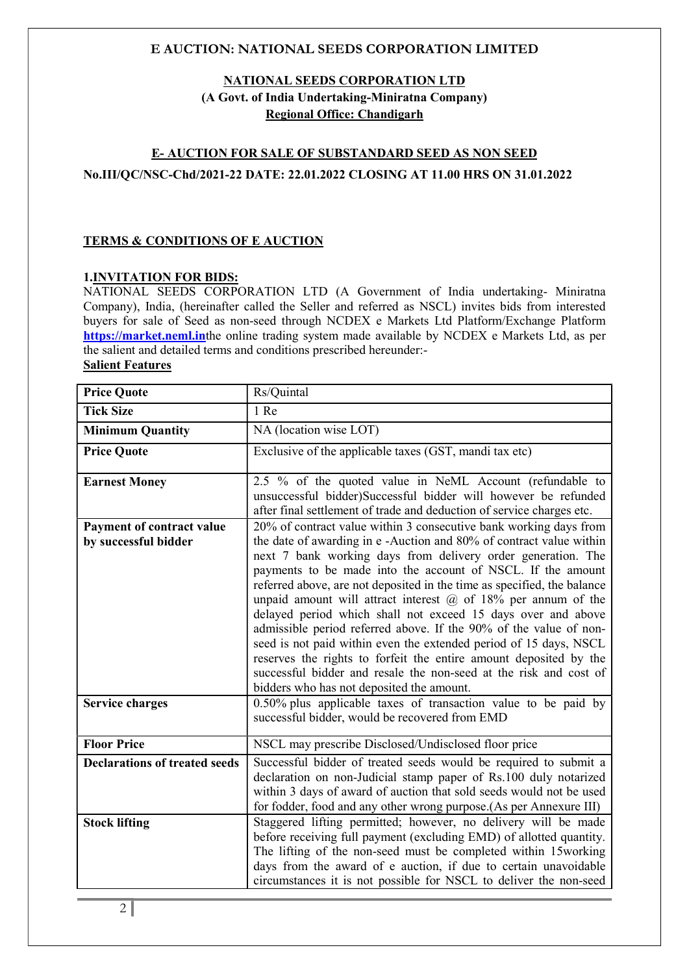## NATIONAL SEEDS CORPORATION LTD (A Govt. of India Undertaking-Miniratna Company) Regional Office: Chandigarh

# E- AUCTION FOR SALE OF SUBSTANDARD SEED AS NON SEED No.III/QC/NSC-Chd/2021-22 DATE: 22.01.2022 CLOSING AT 11.00 HRS ON 31.01.2022

## TERMS & CONDITIONS OF E AUCTION

#### 1.INVITATION FOR BIDS:

NATIONAL SEEDS CORPORATION LTD (A Government of India undertaking- Miniratna Company), India, (hereinafter called the Seller and referred as NSCL) invites bids from interested buyers for sale of Seed as non-seed through NCDEX e Markets Ltd Platform/Exchange Platform https://market.neml.inthe online trading system made available by NCDEX e Markets Ltd, as per the salient and detailed terms and conditions prescribed hereunder:- Salient Features

| <b>Price Quote</b>                                       | Rs/Quintal                                                                                                                                                                                                                                                                                                                                                                                                                                                                                                                                                                                                                                                                                                                                                                                                              |
|----------------------------------------------------------|-------------------------------------------------------------------------------------------------------------------------------------------------------------------------------------------------------------------------------------------------------------------------------------------------------------------------------------------------------------------------------------------------------------------------------------------------------------------------------------------------------------------------------------------------------------------------------------------------------------------------------------------------------------------------------------------------------------------------------------------------------------------------------------------------------------------------|
| <b>Tick Size</b>                                         | 1 Re                                                                                                                                                                                                                                                                                                                                                                                                                                                                                                                                                                                                                                                                                                                                                                                                                    |
| <b>Minimum Quantity</b>                                  | NA (location wise LOT)                                                                                                                                                                                                                                                                                                                                                                                                                                                                                                                                                                                                                                                                                                                                                                                                  |
| <b>Price Quote</b>                                       | Exclusive of the applicable taxes (GST, mandi tax etc)                                                                                                                                                                                                                                                                                                                                                                                                                                                                                                                                                                                                                                                                                                                                                                  |
| <b>Earnest Money</b>                                     | 2.5 % of the quoted value in NeML Account (refundable to<br>unsuccessful bidder)Successful bidder will however be refunded<br>after final settlement of trade and deduction of service charges etc.                                                                                                                                                                                                                                                                                                                                                                                                                                                                                                                                                                                                                     |
| <b>Payment of contract value</b><br>by successful bidder | 20% of contract value within 3 consecutive bank working days from<br>the date of awarding in e-Auction and 80% of contract value within<br>next 7 bank working days from delivery order generation. The<br>payments to be made into the account of NSCL. If the amount<br>referred above, are not deposited in the time as specified, the balance<br>unpaid amount will attract interest $(a)$ of 18% per annum of the<br>delayed period which shall not exceed 15 days over and above<br>admissible period referred above. If the 90% of the value of non-<br>seed is not paid within even the extended period of 15 days, NSCL<br>reserves the rights to forfeit the entire amount deposited by the<br>successful bidder and resale the non-seed at the risk and cost of<br>bidders who has not deposited the amount. |
| <b>Service charges</b>                                   | 0.50% plus applicable taxes of transaction value to be paid by<br>successful bidder, would be recovered from EMD                                                                                                                                                                                                                                                                                                                                                                                                                                                                                                                                                                                                                                                                                                        |
| <b>Floor Price</b>                                       | NSCL may prescribe Disclosed/Undisclosed floor price                                                                                                                                                                                                                                                                                                                                                                                                                                                                                                                                                                                                                                                                                                                                                                    |
| <b>Declarations of treated seeds</b>                     | Successful bidder of treated seeds would be required to submit a<br>declaration on non-Judicial stamp paper of Rs.100 duly notarized<br>within 3 days of award of auction that sold seeds would not be used<br>for fodder, food and any other wrong purpose. (As per Annexure III)                                                                                                                                                                                                                                                                                                                                                                                                                                                                                                                                      |
| <b>Stock lifting</b>                                     | Staggered lifting permitted; however, no delivery will be made<br>before receiving full payment (excluding EMD) of allotted quantity.<br>The lifting of the non-seed must be completed within 15working<br>days from the award of e auction, if due to certain unavoidable<br>circumstances it is not possible for NSCL to deliver the non-seed                                                                                                                                                                                                                                                                                                                                                                                                                                                                         |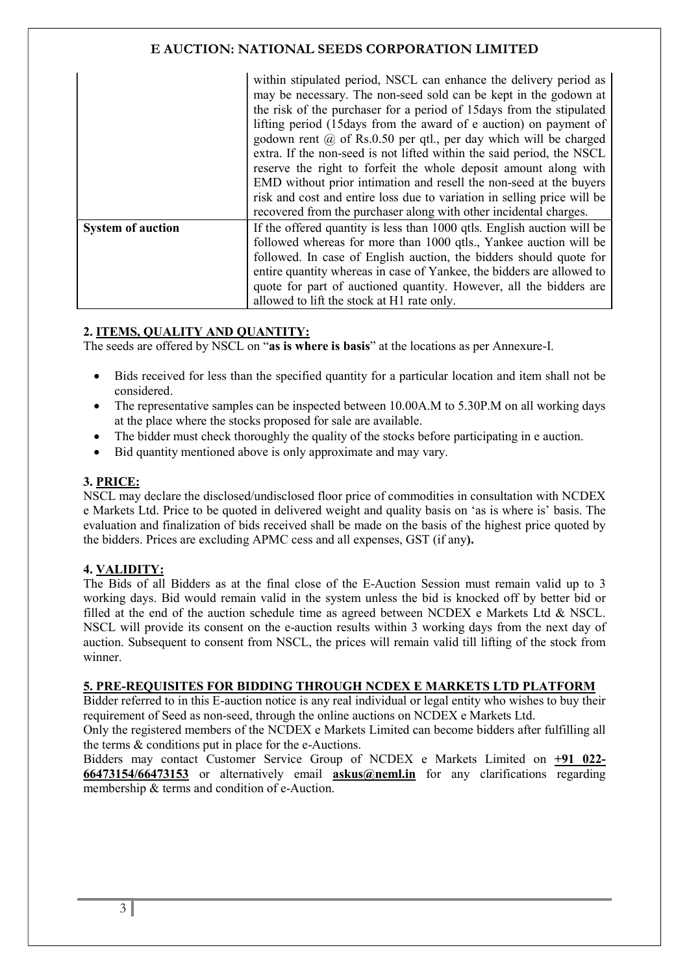|                          | within stipulated period, NSCL can enhance the delivery period as<br>may be necessary. The non-seed sold can be kept in the godown at<br>the risk of the purchaser for a period of 15 days from the stipulated<br>lifting period (15 days from the award of e auction) on payment of<br>godown rent $\omega$ of Rs.0.50 per qtl., per day which will be charged<br>extra. If the non-seed is not lifted within the said period, the NSCL<br>reserve the right to forfeit the whole deposit amount along with<br>EMD without prior intimation and resell the non-seed at the buyers<br>risk and cost and entire loss due to variation in selling price will be<br>recovered from the purchaser along with other incidental charges. |
|--------------------------|------------------------------------------------------------------------------------------------------------------------------------------------------------------------------------------------------------------------------------------------------------------------------------------------------------------------------------------------------------------------------------------------------------------------------------------------------------------------------------------------------------------------------------------------------------------------------------------------------------------------------------------------------------------------------------------------------------------------------------|
| <b>System of auction</b> | If the offered quantity is less than 1000 qtls. English auction will be                                                                                                                                                                                                                                                                                                                                                                                                                                                                                                                                                                                                                                                            |
|                          | followed whereas for more than 1000 qtls., Yankee auction will be<br>followed. In case of English auction, the bidders should quote for                                                                                                                                                                                                                                                                                                                                                                                                                                                                                                                                                                                            |
|                          | entire quantity whereas in case of Yankee, the bidders are allowed to                                                                                                                                                                                                                                                                                                                                                                                                                                                                                                                                                                                                                                                              |
|                          | quote for part of auctioned quantity. However, all the bidders are                                                                                                                                                                                                                                                                                                                                                                                                                                                                                                                                                                                                                                                                 |
|                          | allowed to lift the stock at H1 rate only.                                                                                                                                                                                                                                                                                                                                                                                                                                                                                                                                                                                                                                                                                         |

## 2. ITEMS, QUALITY AND QUANTITY:

The seeds are offered by NSCL on "as is where is basis" at the locations as per Annexure-I.

- Bids received for less than the specified quantity for a particular location and item shall not be considered.
- The representative samples can be inspected between 10.00A.M to 5.30P.M on all working days at the place where the stocks proposed for sale are available.
- The bidder must check thoroughly the quality of the stocks before participating in e auction.
- Bid quantity mentioned above is only approximate and may vary.

#### 3. PRICE:

NSCL may declare the disclosed/undisclosed floor price of commodities in consultation with NCDEX e Markets Ltd. Price to be quoted in delivered weight and quality basis on 'as is where is' basis. The evaluation and finalization of bids received shall be made on the basis of the highest price quoted by the bidders. Prices are excluding APMC cess and all expenses, GST (if any).

## 4. VALIDITY:

The Bids of all Bidders as at the final close of the E-Auction Session must remain valid up to 3 working days. Bid would remain valid in the system unless the bid is knocked off by better bid or filled at the end of the auction schedule time as agreed between NCDEX e Markets Ltd & NSCL. NSCL will provide its consent on the e-auction results within 3 working days from the next day of auction. Subsequent to consent from NSCL, the prices will remain valid till lifting of the stock from winner.

### 5. PRE-REQUISITES FOR BIDDING THROUGH NCDEX E MARKETS LTD PLATFORM

Bidder referred to in this E-auction notice is any real individual or legal entity who wishes to buy their requirement of Seed as non-seed, through the online auctions on NCDEX e Markets Ltd.

Only the registered members of the NCDEX e Markets Limited can become bidders after fulfilling all the terms & conditions put in place for the e-Auctions.

Bidders may contact Customer Service Group of NCDEX e Markets Limited on +91 022- 66473154/66473153 or alternatively email askus@neml.in for any clarifications regarding membership & terms and condition of e-Auction.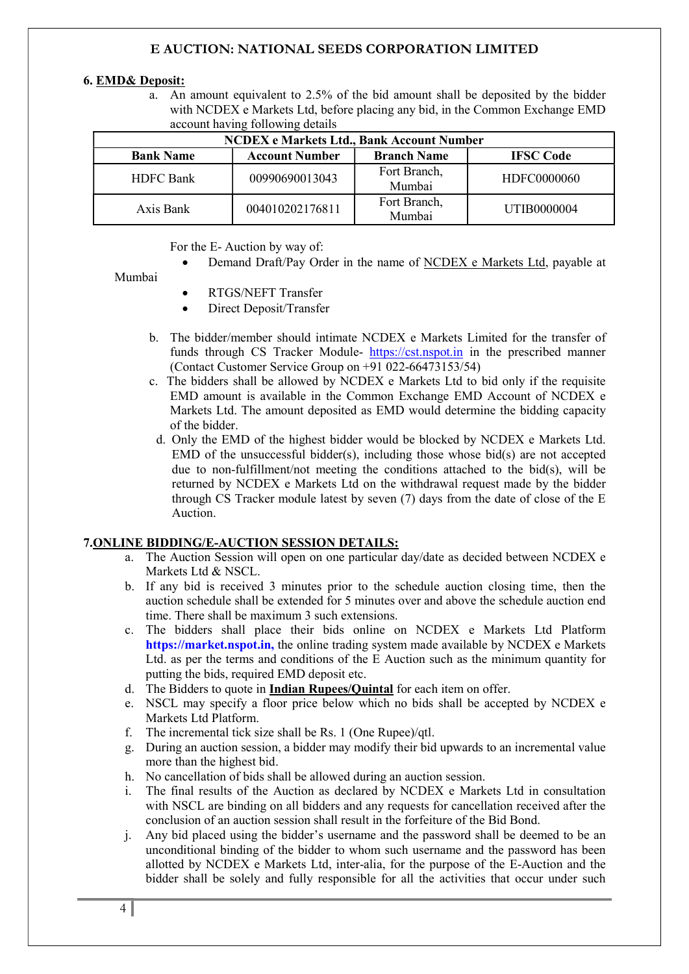#### 6. EMD& Deposit:

a. An amount equivalent to 2.5% of the bid amount shall be deposited by the bidder with NCDEX e Markets Ltd, before placing any bid, in the Common Exchange EMD account having following details

| <b>NCDEX</b> e Markets Ltd., Bank Account Number |                       |                        |                  |  |  |  |
|--------------------------------------------------|-----------------------|------------------------|------------------|--|--|--|
| <b>Bank Name</b>                                 | <b>Account Number</b> | <b>Branch Name</b>     | <b>IFSC</b> Code |  |  |  |
| <b>HDFC Bank</b>                                 | 00990690013043        | Fort Branch,<br>Mumbai | HDFC0000060      |  |  |  |
| Axis Bank                                        | 004010202176811       | Fort Branch,<br>Mumbai | UTIB0000004      |  |  |  |

#### For the E- Auction by way of:

Demand Draft/Pay Order in the name of NCDEX e Markets Ltd, payable at

#### Mumbai

- RTGS/NEFT Transfer
- Direct Deposit/Transfer
- b. The bidder/member should intimate NCDEX e Markets Limited for the transfer of funds through CS Tracker Module- https://cst.nspot.in in the prescribed manner (Contact Customer Service Group on +91 022-66473153/54)
- c. The bidders shall be allowed by NCDEX e Markets Ltd to bid only if the requisite EMD amount is available in the Common Exchange EMD Account of NCDEX e Markets Ltd. The amount deposited as EMD would determine the bidding capacity of the bidder.
- d. Only the EMD of the highest bidder would be blocked by NCDEX e Markets Ltd. EMD of the unsuccessful bidder(s), including those whose bid(s) are not accepted due to non-fulfillment/not meeting the conditions attached to the bid(s), will be returned by NCDEX e Markets Ltd on the withdrawal request made by the bidder through CS Tracker module latest by seven (7) days from the date of close of the E Auction.

#### 7.ONLINE BIDDING/E-AUCTION SESSION DETAILS:

- a. The Auction Session will open on one particular day/date as decided between NCDEX e Markets Ltd & NSCL.
- b. If any bid is received 3 minutes prior to the schedule auction closing time, then the auction schedule shall be extended for 5 minutes over and above the schedule auction end time. There shall be maximum 3 such extensions.
- c. The bidders shall place their bids online on NCDEX e Markets Ltd Platform https://market.nspot.in, the online trading system made available by NCDEX e Markets Ltd. as per the terms and conditions of the E Auction such as the minimum quantity for putting the bids, required EMD deposit etc.
- d. The Bidders to quote in **Indian Rupees/Quintal** for each item on offer.
- e. NSCL may specify a floor price below which no bids shall be accepted by NCDEX e Markets Ltd Platform.
- f. The incremental tick size shall be Rs. 1 (One Rupee)/qtl.
- g. During an auction session, a bidder may modify their bid upwards to an incremental value more than the highest bid.
- h. No cancellation of bids shall be allowed during an auction session.
- i. The final results of the Auction as declared by NCDEX e Markets Ltd in consultation with NSCL are binding on all bidders and any requests for cancellation received after the conclusion of an auction session shall result in the forfeiture of the Bid Bond.
- j. Any bid placed using the bidder's username and the password shall be deemed to be an unconditional binding of the bidder to whom such username and the password has been allotted by NCDEX e Markets Ltd, inter-alia, for the purpose of the E-Auction and the bidder shall be solely and fully responsible for all the activities that occur under such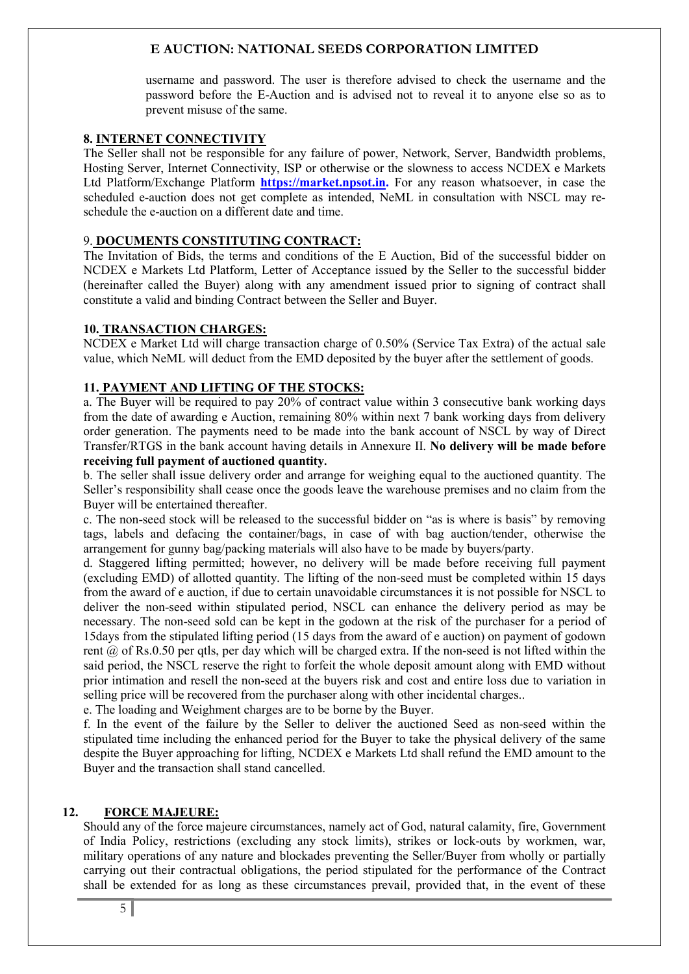username and password. The user is therefore advised to check the username and the password before the E-Auction and is advised not to reveal it to anyone else so as to prevent misuse of the same.

#### 8. INTERNET CONNECTIVITY

The Seller shall not be responsible for any failure of power, Network, Server, Bandwidth problems, Hosting Server, Internet Connectivity, ISP or otherwise or the slowness to access NCDEX e Markets Ltd Platform/Exchange Platform **https://market.npsot.in.** For any reason whatsoever, in case the scheduled e-auction does not get complete as intended. NeML in consultation with NSCL may reschedule the e-auction on a different date and time.

#### 9. DOCUMENTS CONSTITUTING CONTRACT:

The Invitation of Bids, the terms and conditions of the E Auction, Bid of the successful bidder on NCDEX e Markets Ltd Platform, Letter of Acceptance issued by the Seller to the successful bidder (hereinafter called the Buyer) along with any amendment issued prior to signing of contract shall constitute a valid and binding Contract between the Seller and Buyer.

#### 10. TRANSACTION CHARGES:

NCDEX e Market Ltd will charge transaction charge of 0.50% (Service Tax Extra) of the actual sale value, which NeML will deduct from the EMD deposited by the buyer after the settlement of goods.

### 11. PAYMENT AND LIFTING OF THE STOCKS:

a. The Buyer will be required to pay 20% of contract value within 3 consecutive bank working days from the date of awarding e Auction, remaining 80% within next 7 bank working days from delivery order generation. The payments need to be made into the bank account of NSCL by way of Direct Transfer/RTGS in the bank account having details in Annexure II. No delivery will be made before receiving full payment of auctioned quantity.

b. The seller shall issue delivery order and arrange for weighing equal to the auctioned quantity. The Seller's responsibility shall cease once the goods leave the warehouse premises and no claim from the Buyer will be entertained thereafter.

c. The non-seed stock will be released to the successful bidder on "as is where is basis" by removing tags, labels and defacing the container/bags, in case of with bag auction/tender, otherwise the arrangement for gunny bag/packing materials will also have to be made by buyers/party.

d. Staggered lifting permitted; however, no delivery will be made before receiving full payment (excluding EMD) of allotted quantity. The lifting of the non-seed must be completed within 15 days from the award of e auction, if due to certain unavoidable circumstances it is not possible for NSCL to deliver the non-seed within stipulated period, NSCL can enhance the delivery period as may be necessary. The non-seed sold can be kept in the godown at the risk of the purchaser for a period of 15days from the stipulated lifting period (15 days from the award of e auction) on payment of godown rent @ of Rs.0.50 per qtls, per day which will be charged extra. If the non-seed is not lifted within the said period, the NSCL reserve the right to forfeit the whole deposit amount along with EMD without prior intimation and resell the non-seed at the buyers risk and cost and entire loss due to variation in selling price will be recovered from the purchaser along with other incidental charges..

e. The loading and Weighment charges are to be borne by the Buyer.

f. In the event of the failure by the Seller to deliver the auctioned Seed as non-seed within the stipulated time including the enhanced period for the Buyer to take the physical delivery of the same despite the Buyer approaching for lifting, NCDEX e Markets Ltd shall refund the EMD amount to the Buyer and the transaction shall stand cancelled.

### 12. FORCE MAJEURE:

Should any of the force majeure circumstances, namely act of God, natural calamity, fire, Government of India Policy, restrictions (excluding any stock limits), strikes or lock-outs by workmen, war, military operations of any nature and blockades preventing the Seller/Buyer from wholly or partially carrying out their contractual obligations, the period stipulated for the performance of the Contract shall be extended for as long as these circumstances prevail, provided that, in the event of these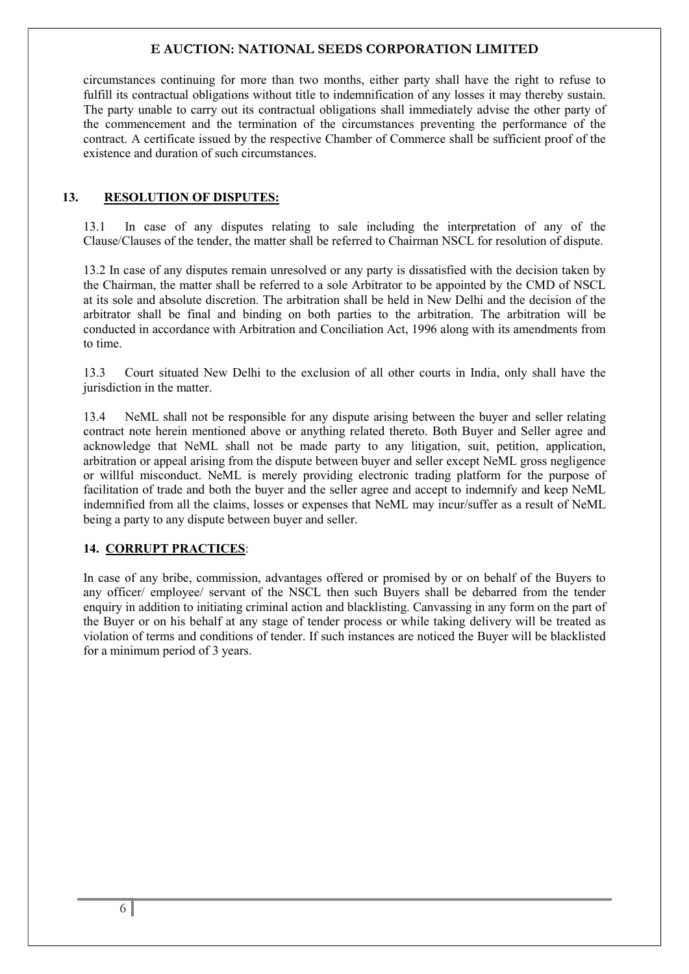circumstances continuing for more than two months, either party shall have the right to refuse to fulfill its contractual obligations without title to indemnification of any losses it may thereby sustain. The party unable to carry out its contractual obligations shall immediately advise the other party of the commencement and the termination of the circumstances preventing the performance of the contract. A certificate issued by the respective Chamber of Commerce shall be sufficient proof of the existence and duration of such circumstances.

## 13. RESOLUTION OF DISPUTES:

13.1 In case of any disputes relating to sale including the interpretation of any of the Clause/Clauses of the tender, the matter shall be referred to Chairman NSCL for resolution of dispute.

13.2 In case of any disputes remain unresolved or any party is dissatisfied with the decision taken by the Chairman, the matter shall be referred to a sole Arbitrator to be appointed by the CMD of NSCL at its sole and absolute discretion. The arbitration shall be held in New Delhi and the decision of the arbitrator shall be final and binding on both parties to the arbitration. The arbitration will be conducted in accordance with Arbitration and Conciliation Act, 1996 along with its amendments from to time.

13.3 Court situated New Delhi to the exclusion of all other courts in India, only shall have the jurisdiction in the matter.

13.4 NeML shall not be responsible for any dispute arising between the buyer and seller relating contract note herein mentioned above or anything related thereto. Both Buyer and Seller agree and acknowledge that NeML shall not be made party to any litigation, suit, petition, application, arbitration or appeal arising from the dispute between buyer and seller except NeML gross negligence or willful misconduct. NeML is merely providing electronic trading platform for the purpose of facilitation of trade and both the buyer and the seller agree and accept to indemnify and keep NeML indemnified from all the claims, losses or expenses that NeML may incur/suffer as a result of NeML being a party to any dispute between buyer and seller.

## 14. CORRUPT PRACTICES:

In case of any bribe, commission, advantages offered or promised by or on behalf of the Buyers to any officer/ employee/ servant of the NSCL then such Buyers shall be debarred from the tender enquiry in addition to initiating criminal action and blacklisting. Canvassing in any form on the part of the Buyer or on his behalf at any stage of tender process or while taking delivery will be treated as violation of terms and conditions of tender. If such instances are noticed the Buyer will be blacklisted for a minimum period of 3 years.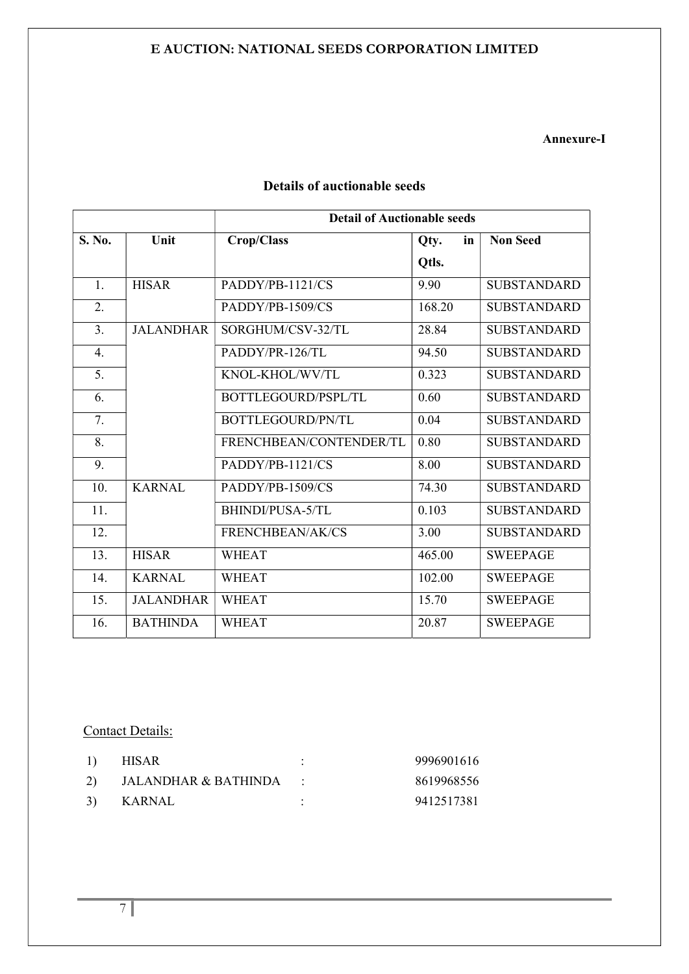### Annexure-I

|        |                  | <b>Detail of Auctionable seeds</b> |            |                    |
|--------|------------------|------------------------------------|------------|--------------------|
| S. No. | Unit             | Crop/Class                         | in<br>Qty. | <b>Non Seed</b>    |
|        |                  |                                    | Otls.      |                    |
| 1.     | <b>HISAR</b>     | PADDY/PB-1121/CS                   | 9.90       | <b>SUBSTANDARD</b> |
| 2.     |                  | PADDY/PB-1509/CS                   | 168.20     | <b>SUBSTANDARD</b> |
| 3.     | <b>JALANDHAR</b> | SORGHUM/CSV-32/TL                  | 28.84      | <b>SUBSTANDARD</b> |
| 4.     |                  | PADDY/PR-126/TL                    | 94.50      | <b>SUBSTANDARD</b> |
| 5.     |                  | KNOL-KHOL/WV/TL                    | 0.323      | <b>SUBSTANDARD</b> |
| 6.     |                  | BOTTLEGOURD/PSPL/TL                | 0.60       | <b>SUBSTANDARD</b> |
| 7.     |                  | BOTTLEGOURD/PN/TL                  | 0.04       | <b>SUBSTANDARD</b> |
| 8.     |                  | FRENCHBEAN/CONTENDER/TL            | 0.80       | <b>SUBSTANDARD</b> |
| 9.     |                  | PADDY/PB-1121/CS                   | 8.00       | <b>SUBSTANDARD</b> |
| 10.    | <b>KARNAL</b>    | PADDY/PB-1509/CS                   | 74.30      | <b>SUBSTANDARD</b> |
| 11.    |                  | BHINDI/PUSA-5/TL                   | 0.103      | <b>SUBSTANDARD</b> |
| 12.    |                  | FRENCHBEAN/AK/CS                   | 3.00       | <b>SUBSTANDARD</b> |
| 13.    | <b>HISAR</b>     | <b>WHEAT</b>                       | 465.00     | <b>SWEEPAGE</b>    |
| 14.    | <b>KARNAL</b>    | <b>WHEAT</b>                       | 102.00     | <b>SWEEPAGE</b>    |
| 15.    | <b>JALANDHAR</b> | <b>WHEAT</b>                       | 15.70      | <b>SWEEPAGE</b>    |
| 16.    | <b>BATHINDA</b>  | <b>WHEAT</b>                       | 20.87      | <b>SWEEPAGE</b>    |

# Details of auctionable seeds

## Contact Details:

| <sup>1</sup> | <b>HISAR</b>           | 9996901616 |
|--------------|------------------------|------------|
| <sup>2</sup> | JALANDHAR & BATHINDA : | 8619968556 |
| <sup>3</sup> | KARNAL                 | 9412517381 |